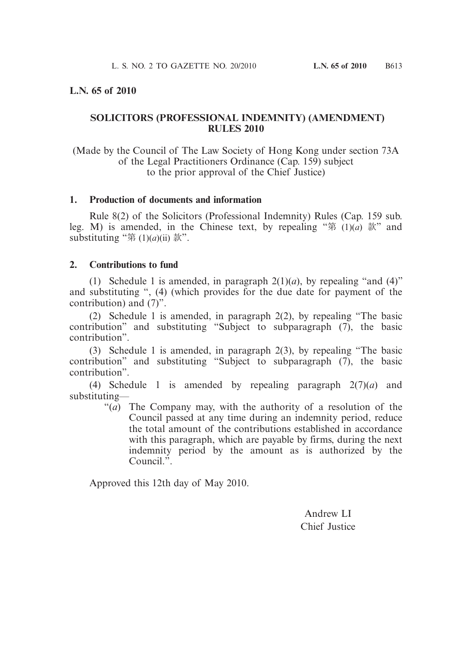# **L.N. 65 of 2010**

# **SOLICITORS (PROFESSIONAL INDEMNITY) (AMENDMENT) RULES 2010**

(Made by the Council of The Law Society of Hong Kong under section 73A of the Legal Practitioners Ordinance (Cap. 159) subject to the prior approval of the Chief Justice)

### **1. Production of documents and information**

 Rule 8(2) of the Solicitors (Professional Indemnity) Rules (Cap. 159 sub. leg. M) is amended, in the Chinese text, by repealing "第 (1)(*a*) 款" and substituting "第  $(1)(a)(ii)$  款".

### **2. Contributions to fund**

(1) Schedule 1 is amended, in paragraph  $2(1)(a)$ , by repealing "and (4)" and substituting ", (4) (which provides for the due date for payment of the contribution) and (7)".

 (2) Schedule 1 is amended, in paragraph 2(2), by repealing "The basic contribution" and substituting "Subject to subparagraph (7), the basic contribution".

 (3) Schedule 1 is amended, in paragraph 2(3), by repealing "The basic contribution" and substituting "Subject to subparagraph (7), the basic contribution".

 (4) Schedule 1 is amended by repealing paragraph 2(7)(*a*) and substituting—

"(*a*) The Company may, with the authority of a resolution of the Council passed at any time during an indemnity period, reduce the total amount of the contributions established in accordance with this paragraph, which are payable by firms, during the next indemnity period by the amount as is authorized by the Council.".

Approved this 12th day of May 2010.

Andrew LI Chief Justice